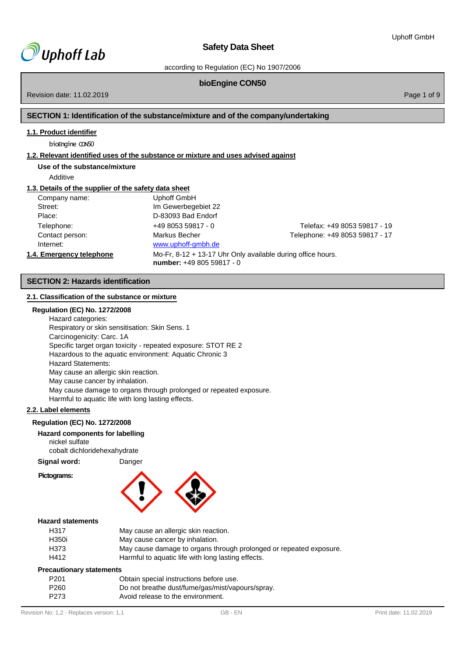

according to Regulation (EC) No 1907/2006

# **bioEngine CON50**

Revision date: 11.02.2019 Page 1 of 9

# **SECTION 1: Identification of the substance/mixture and of the company/undertaking**

# **1.1. Product identifier**

bioEngine CON50

# **1.2. Relevant identified uses of the substance or mixture and uses advised against**

# **Use of the substance/mixture**

Additive

#### **1.3. Details of the supplier of the safety data sheet**

| Company name:            | Uphoff GmbH                                                                                |                                |
|--------------------------|--------------------------------------------------------------------------------------------|--------------------------------|
| Street:                  | Im Gewerbegebiet 22                                                                        |                                |
| Place:                   | D-83093 Bad Endorf                                                                         |                                |
| Telephone:               | $+49805359817 - 0$                                                                         | Telefax: +49 8053 59817 - 19   |
| Contact person:          | Markus Becher                                                                              | Telephone: +49 8053 59817 - 17 |
| Internet:                | www.uphoff-gmbh.de                                                                         |                                |
| 1.4. Emergency telephone | Mo-Fr, $8-12 + 13-17$ Uhr Only available during office hours.<br>number: +49 805 59817 - 0 |                                |

# **SECTION 2: Hazards identification**

# **2.1. Classification of the substance or mixture**

#### **Regulation (EC) No. 1272/2008**

Hazard categories: Respiratory or skin sensitisation: Skin Sens. 1 Carcinogenicity: Carc. 1A Specific target organ toxicity - repeated exposure: STOT RE 2 Hazardous to the aquatic environment: Aquatic Chronic 3 Hazard Statements: May cause an allergic skin reaction. May cause cancer by inhalation. May cause damage to organs through prolonged or repeated exposure. Harmful to aquatic life with long lasting effects.

# **2.2. Label elements**

#### **Regulation (EC) No. 1272/2008**

**Hazard components for labelling** nickel sulfate cobalt dichloridehexahydrate

**Signal word:** Danger

#### **Pictograms:**



#### **Hazard statements**

| H317                            | May cause an allergic skin reaction.                               |
|---------------------------------|--------------------------------------------------------------------|
| H350i                           | May cause cancer by inhalation.                                    |
| H373                            | May cause damage to organs through prolonged or repeated exposure. |
| H412                            | Harmful to aquatic life with long lasting effects.                 |
| <b>Precautionary statements</b> |                                                                    |

| ecautional y statements |                                                  |
|-------------------------|--------------------------------------------------|
| P <sub>201</sub>        | Obtain special instructions before use.          |
| P <sub>260</sub>        | Do not breathe dust/fume/gas/mist/vapours/spray. |
| P273                    | Avoid release to the environment.                |
|                         |                                                  |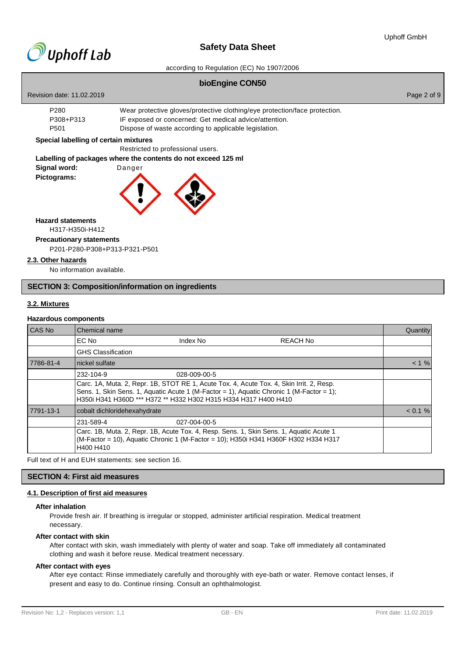

according to Regulation (EC) No 1907/2006

#### **bioEngine CON50**

| Revision date: 11.02.2019 | Page 2 of 9 |
|---------------------------|-------------|
|---------------------------|-------------|

| P280      | Wear protective gloves/protective clothing/eye protection/face protection. |
|-----------|----------------------------------------------------------------------------|
| P308+P313 | IF exposed or concerned: Get medical advice/attention.                     |
| P501      | Dispose of waste according to applicable legislation.                      |

#### **Special labelling of certain mixtures**

Restricted to professional users.

# **Labelling of packages where the contents do not exceed 125 ml**

| Signal word: | Danger |  |
|--------------|--------|--|
| Pictograms:  |        |  |



**Hazard statements**

# H317-H350i-H412

**Precautionary statements**

P201-P280-P308+P313-P321-P501

#### **2.3. Other hazards**

No information available.

#### **SECTION 3: Composition/information on ingredients**

# **3.2. Mixtures**

#### **Hazardous components**

| CAS No    | Chemical name                |                                                                                                                                                                                                                                                         |                 | Quantity   |
|-----------|------------------------------|---------------------------------------------------------------------------------------------------------------------------------------------------------------------------------------------------------------------------------------------------------|-----------------|------------|
|           | EC No                        | Index No                                                                                                                                                                                                                                                | <b>REACH No</b> |            |
|           | <b>GHS Classification</b>    |                                                                                                                                                                                                                                                         |                 |            |
| 7786-81-4 | nickel sulfate               |                                                                                                                                                                                                                                                         |                 | $< 1 \%$   |
|           | 232-104-9                    | 028-009-00-5                                                                                                                                                                                                                                            |                 |            |
|           |                              | Carc. 1A, Muta. 2, Repr. 1B, STOT RE 1, Acute Tox. 4, Acute Tox. 4, Skin Irrit. 2, Resp.<br>Sens. 1, Skin Sens. 1, Aquatic Acute 1 (M-Factor = 1), Aquatic Chronic 1 (M-Factor = 1);<br>H350i H341 H360D *** H372 ** H332 H302 H315 H334 H317 H400 H410 |                 |            |
| 7791-13-1 | cobalt dichloridehexahydrate |                                                                                                                                                                                                                                                         |                 | $< 0.1 \%$ |
|           | 231-589-4                    | 027-004-00-5                                                                                                                                                                                                                                            |                 |            |
|           | H400 H410                    | Carc. 1B, Muta. 2, Repr. 1B, Acute Tox. 4, Resp. Sens. 1, Skin Sens. 1, Aquatic Acute 1<br>(M-Factor = 10), Aquatic Chronic 1 (M-Factor = 10); H350i H341 H360F H302 H334 H317                                                                          |                 |            |

Full text of H and EUH statements: see section 16.

# **SECTION 4: First aid measures**

# **4.1. Description of first aid measures**

#### **After inhalation**

Provide fresh air. If breathing is irregular or stopped, administer artificial respiration. Medical treatment necessary.

#### **After contact with skin**

After contact with skin, wash immediately with plenty of water and soap. Take off immediately all contaminated clothing and wash it before reuse. Medical treatment necessary.

#### **After contact with eyes**

After eye contact: Rinse immediately carefully and thoroughly with eye-bath or water. Remove contact lenses, if present and easy to do. Continue rinsing. Consult an ophthalmologist.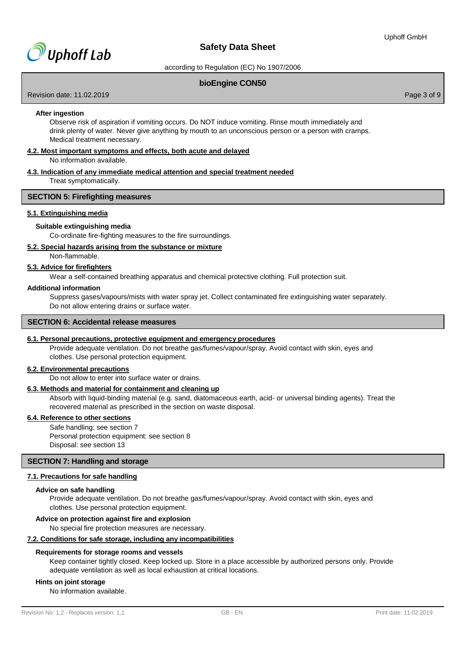

according to Regulation (EC) No 1907/2006

# **bioEngine CON50**

Revision date: 11.02.2019 **Page 3 of 9** and 2011 **Page 3 of 9** and 2012 **Page 3 of 9** and 2012 **Page 3 of 9** and 2012 **Page 3 of 9** 

#### **After ingestion**

Observe risk of aspiration if vomiting occurs. Do NOT induce vomiting. Rinse mouth immediately and drink plenty of water. Never give anything by mouth to an unconscious person or a person with cramps. Medical treatment necessary.

#### **4.2. Most important symptoms and effects, both acute and delayed**

No information available.

# **4.3. Indication of any immediate medical attention and special treatment needed**

Treat symptomatically.

# **SECTION 5: Firefighting measures**

#### **5.1. Extinguishing media**

#### **Suitable extinguishing media**

Co-ordinate fire-fighting measures to the fire surroundings.

#### **5.2. Special hazards arising from the substance or mixture**

Non-flammable.

# **5.3. Advice for firefighters**

Wear a self-contained breathing apparatus and chemical protective clothing. Full protection suit.

#### **Additional information**

Suppress gases/vapours/mists with water spray jet. Collect contaminated fire extinguishing water separately. Do not allow entering drains or surface water.

#### **SECTION 6: Accidental release measures**

#### **6.1. Personal precautions, protective equipment and emergency procedures**

Provide adequate ventilation. Do not breathe gas/fumes/vapour/spray. Avoid contact with skin, eyes and clothes. Use personal protection equipment.

#### **6.2. Environmental precautions**

Do not allow to enter into surface water or drains.

#### **6.3. Methods and material for containment and cleaning up**

Absorb with liquid-binding material (e.g. sand, diatomaceous earth, acid- or universal binding agents). Treat the recovered material as prescribed in the section on waste disposal.

# **6.4. Reference to other sections**

Safe handling: see section 7 Personal protection equipment: see section 8 Disposal: see section 13

# **SECTION 7: Handling and storage**

#### **7.1. Precautions for safe handling**

#### **Advice on safe handling**

Provide adequate ventilation. Do not breathe gas/fumes/vapour/spray. Avoid contact with skin, eyes and clothes. Use personal protection equipment.

#### **Advice on protection against fire and explosion**

No special fire protection measures are necessary.

#### **7.2. Conditions for safe storage, including any incompatibilities**

#### **Requirements for storage rooms and vessels**

Keep container tightly closed. Keep locked up. Store in a place accessible by authorized persons only. Provide adequate ventilation as well as local exhaustion at critical locations.

# **Hints on joint storage**

No information available.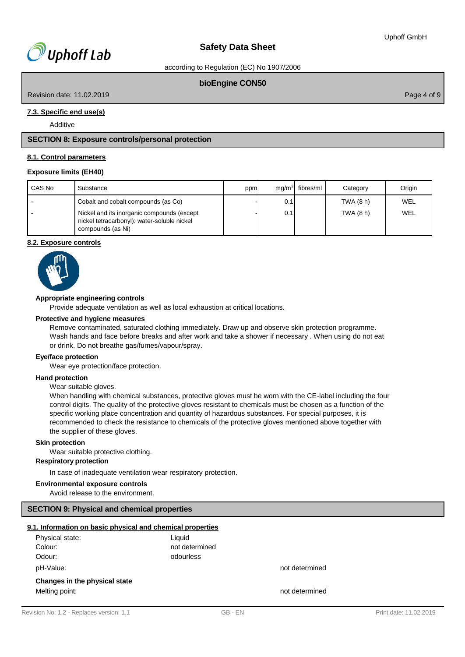according to Regulation (EC) No 1907/2006

# **bioEngine CON50**

Revision date: 11.02.2019 Page 4 of 9

# **7.3. Specific end use(s)**

Additive

# **SECTION 8: Exposure controls/personal protection**

# **8.1. Control parameters**

#### **Exposure limits (EH40)**

| CAS No | Substance                                                                                                      | ppm |     | $mq/m3$ fibres/ml | Category  | Origin |
|--------|----------------------------------------------------------------------------------------------------------------|-----|-----|-------------------|-----------|--------|
|        | Cobalt and cobalt compounds (as Co)                                                                            |     | 0.1 |                   | TWA (8 h) | WEL    |
|        | Nickel and its inorganic compounds (except<br>nickel tetracarbonyl): water-soluble nickel<br>compounds (as Ni) |     | 0.1 |                   | TWA (8 h) | WEL    |

#### **8.2. Exposure controls**



#### **Appropriate engineering controls**

Provide adequate ventilation as well as local exhaustion at critical locations.

#### **Protective and hygiene measures**

Remove contaminated, saturated clothing immediately. Draw up and observe skin protection programme. Wash hands and face before breaks and after work and take a shower if necessary . When using do not eat or drink. Do not breathe gas/fumes/vapour/spray.

#### **Eye/face protection**

Wear eye protection/face protection.

# **Hand protection**

Wear suitable gloves.

When handling with chemical substances, protective gloves must be worn with the CE-label including the four control digits. The quality of the protective gloves resistant to chemicals must be chosen as a function of the specific working place concentration and quantity of hazardous substances. For special purposes, it is recommended to check the resistance to chemicals of the protective gloves mentioned above together with the supplier of these gloves.

# **Skin protection**

Wear suitable protective clothing.

# **Respiratory protection**

In case of inadequate ventilation wear respiratory protection.

# **Environmental exposure controls**

Avoid release to the environment.

# **SECTION 9: Physical and chemical properties**

#### **9.1. Information on basic physical and chemical properties**

| Physical state:<br>Colour:<br>Odour: | Liauid<br>not determined<br>odourless |                |
|--------------------------------------|---------------------------------------|----------------|
| pH-Value:                            |                                       | not determined |
| Changes in the physical state        |                                       |                |
| Melting point:                       |                                       | not determined |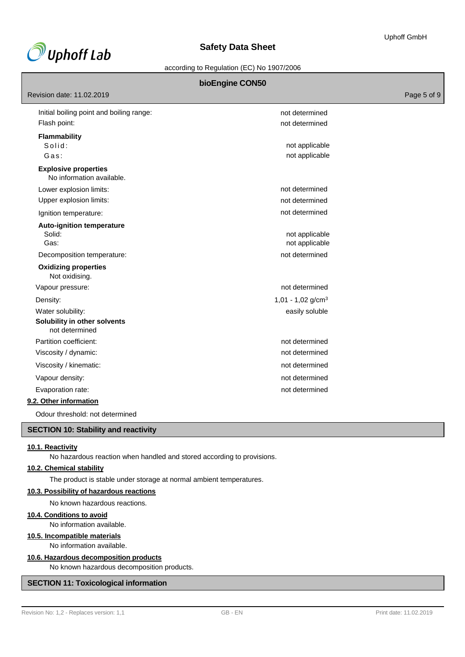

according to Regulation (EC) No 1907/2006

# **bioEngine CON50**

Revision date: 11.02.2019 **Page 5 of 9** and 2011 **Page 12.02.2019** Page 5 of 9 Initial boiling point and boiling range: Flash point: **Flammability** Solid: Gas: **Explosive properties** No information available. Lower explosion limits: Upper explosion limits: Ignition temperature: **Auto-ignition temperature** Solid: Gas: Decomposition temperature: **Oxidizing properties**  Not oxidising. not determined not determined not applicable not applicable not determined not determined not determined not applicable not applicable not determined Vapour pressure: not determined Density:  $1,01 - 1,02$  g/cm<sup>3</sup> Water solubility: easily soluble to the solubility: **Solubility in other solvents**  not determined Partition coefficient: not determined Viscosity / dynamic: not determined Viscosity / kinematic:  $\blacksquare$ Vapour density: not of the state of the state of the state of the state of the state of the state of the state of the state of the state of the state of the state of the state of the state of the state of the state of the Evaporation rate: not determined

# **9.2. Other information**

Odour threshold: not determined

# **SECTION 10: Stability and reactivity**

# **10.1. Reactivity**

No hazardous reaction when handled and stored according to provisions.

# **10.2. Chemical stability**

The product is stable under storage at normal ambient temperatures.

#### **10.3. Possibility of hazardous reactions**

No known hazardous reactions.

# **10.4. Conditions to avoid**

No information available.

#### **10.5. Incompatible materials**

No information available.

#### **10.6. Hazardous decomposition products**

No known hazardous decomposition products.

# **SECTION 11: Toxicological information**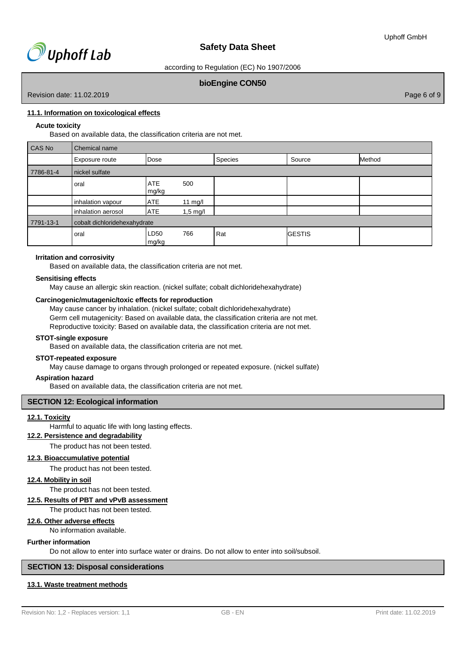

according to Regulation (EC) No 1907/2006

# **bioEngine CON50**

Revision date: 11.02.2019 Page 6 of 9

# **11.1. Information on toxicological effects**

# **Acute toxicity**

Based on available data, the classification criteria are not met.

| CAS No    | Chemical name                |                     |                    |         |               |        |
|-----------|------------------------------|---------------------|--------------------|---------|---------------|--------|
|           | Exposure route               | Dose                |                    | Species | Source        | Method |
| 7786-81-4 | nickel sulfate               |                     |                    |         |               |        |
|           | oral                         | <b>ATE</b><br>mg/kg | 500                |         |               |        |
|           | inhalation vapour            | <b>ATE</b>          | 11 mg/l            |         |               |        |
|           | inhalation aerosol           | <b>ATE</b>          | $1,5 \text{ mg/l}$ |         |               |        |
| 7791-13-1 | cobalt dichloridehexahydrate |                     |                    |         |               |        |
|           | oral                         | LD50<br>mg/kg       | 766                | Rat     | <b>GESTIS</b> |        |

#### **Irritation and corrosivity**

Based on available data, the classification criteria are not met.

#### **Sensitising effects**

May cause an allergic skin reaction. (nickel sulfate; cobalt dichloridehexahydrate)

# **Carcinogenic/mutagenic/toxic effects for reproduction**

May cause cancer by inhalation. (nickel sulfate; cobalt dichloridehexahydrate) Germ cell mutagenicity: Based on available data, the classification criteria are not met. Reproductive toxicity: Based on available data, the classification criteria are not met.

#### **STOT-single exposure**

Based on available data, the classification criteria are not met.

#### **STOT-repeated exposure**

May cause damage to organs through prolonged or repeated exposure. (nickel sulfate)

#### **Aspiration hazard**

Based on available data, the classification criteria are not met.

# **SECTION 12: Ecological information**

#### **12.1. Toxicity**

Harmful to aquatic life with long lasting effects.

# **12.2. Persistence and degradability**

The product has not been tested.

#### **12.3. Bioaccumulative potential**

The product has not been tested.

# **12.4. Mobility in soil**

The product has not been tested.

#### **12.5. Results of PBT and vPvB assessment**

The product has not been tested.

# **12.6. Other adverse effects**

No information available.

#### **Further information**

Do not allow to enter into surface water or drains. Do not allow to enter into soil/subsoil.

# **SECTION 13: Disposal considerations**

# **13.1. Waste treatment methods**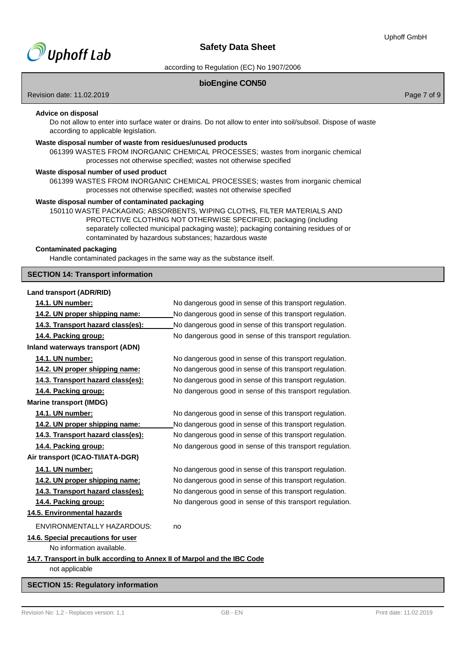

according to Regulation (EC) No 1907/2006

# **bioEngine CON50**

Revision date: 11.02.2019 **Page 7 of 9** and 2011 **Page 7 of 9** and 2012 **Page 7 of 9** and 2012 **Page 7 of 9** and 2012 **Page 7 of 9** 

# **Advice on disposal**

Do not allow to enter into surface water or drains. Do not allow to enter into soil/subsoil. Dispose of waste according to applicable legislation.

# **Waste disposal number of waste from residues/unused products**

061399 WASTES FROM INORGANIC CHEMICAL PROCESSES; wastes from inorganic chemical processes not otherwise specified; wastes not otherwise specified

#### **Waste disposal number of used product**

061399 WASTES FROM INORGANIC CHEMICAL PROCESSES; wastes from inorganic chemical processes not otherwise specified; wastes not otherwise specified

# **Waste disposal number of contaminated packaging**

150110 WASTE PACKAGING; ABSORBENTS, WIPING CLOTHS, FILTER MATERIALS AND PROTECTIVE CLOTHING NOT OTHERWISE SPECIFIED; packaging (including separately collected municipal packaging waste); packaging containing residues of or contaminated by hazardous substances; hazardous waste

# **Contaminated packaging**

Handle contaminated packages in the same way as the substance itself.

# **SECTION 14: Transport information**

#### **Land transport (ADR/RID)**

| 14.1. UN number:                                                                           | No dangerous good in sense of this transport regulation. |
|--------------------------------------------------------------------------------------------|----------------------------------------------------------|
| 14.2. UN proper shipping name:                                                             | No dangerous good in sense of this transport regulation. |
| 14.3. Transport hazard class(es):                                                          | No dangerous good in sense of this transport regulation. |
| 14.4. Packing group:                                                                       | No dangerous good in sense of this transport regulation. |
| Inland waterways transport (ADN)                                                           |                                                          |
| 14.1. UN number:                                                                           | No dangerous good in sense of this transport regulation. |
| 14.2. UN proper shipping name:                                                             | No dangerous good in sense of this transport regulation. |
| 14.3. Transport hazard class(es):                                                          | No dangerous good in sense of this transport regulation. |
| 14.4. Packing group:                                                                       | No dangerous good in sense of this transport regulation. |
| <b>Marine transport (IMDG)</b>                                                             |                                                          |
| 14.1. UN number:                                                                           | No dangerous good in sense of this transport regulation. |
| 14.2. UN proper shipping name:                                                             | No dangerous good in sense of this transport regulation. |
| 14.3. Transport hazard class(es):                                                          | No dangerous good in sense of this transport regulation. |
| 14.4. Packing group:                                                                       | No dangerous good in sense of this transport regulation. |
| Air transport (ICAO-TI/IATA-DGR)                                                           |                                                          |
| 14.1. UN number:                                                                           | No dangerous good in sense of this transport regulation. |
| 14.2. UN proper shipping name:                                                             | No dangerous good in sense of this transport regulation. |
| 14.3. Transport hazard class(es):                                                          | No dangerous good in sense of this transport regulation. |
| 14.4. Packing group:                                                                       | No dangerous good in sense of this transport regulation. |
| 14.5. Environmental hazards                                                                |                                                          |
| <b>ENVIRONMENTALLY HAZARDOUS:</b>                                                          | no                                                       |
| 14.6. Special precautions for user<br>No information available.                            |                                                          |
| 14.7. Transport in bulk according to Annex II of Marpol and the IBC Code<br>not applicable |                                                          |

# **SECTION 15: Regulatory information**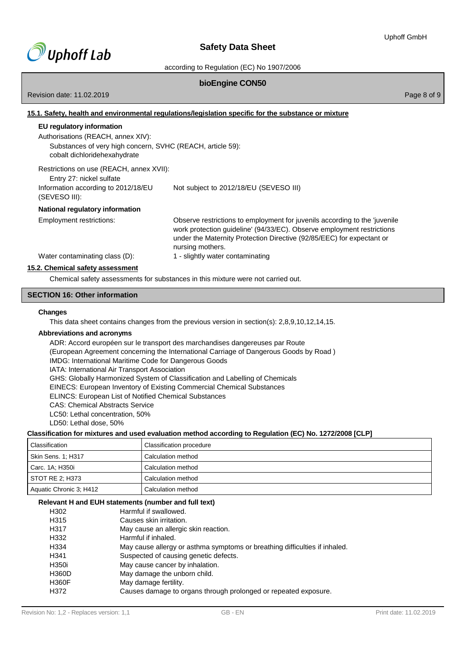

according to Regulation (EC) No 1907/2006

# **bioEngine CON50**

Revision date: 11.02.2019 **Page 8 of 9** and 2011 **Page 8 of 9** and 2012 **Page 8 of 9** and 2012 **Page 8 of 9** and 2012 **Page 8 of 9** 

# **15.1. Safety, health and environmental regulations/legislation specific for the substance or mixture**

| EU regulatory information                                                                  |                                                                                                                                                                                                                                                   |
|--------------------------------------------------------------------------------------------|---------------------------------------------------------------------------------------------------------------------------------------------------------------------------------------------------------------------------------------------------|
| Authorisations (REACH, annex XIV):                                                         |                                                                                                                                                                                                                                                   |
| Substances of very high concern, SVHC (REACH, article 59):<br>cobalt dichloridehexahydrate |                                                                                                                                                                                                                                                   |
| Restrictions on use (REACH, annex XVII):<br>Entry 27: nickel sulfate                       |                                                                                                                                                                                                                                                   |
| Information according to 2012/18/EU<br>(SEVESO III):                                       | Not subject to 2012/18/EU (SEVESO III)                                                                                                                                                                                                            |
| <b>National regulatory information</b>                                                     |                                                                                                                                                                                                                                                   |
| Employment restrictions:                                                                   | Observe restrictions to employment for juvenils according to the 'juvenile<br>work protection guideline' (94/33/EC). Observe employment restrictions<br>under the Maternity Protection Directive (92/85/EEC) for expectant or<br>nursing mothers. |
| Water contaminating class (D):                                                             | 1 - slightly water contaminating                                                                                                                                                                                                                  |
| 15.2. Chemical safety assessment                                                           |                                                                                                                                                                                                                                                   |

Chemical safety assessments for substances in this mixture were not carried out.

# **SECTION 16: Other information**

#### **Changes**

This data sheet contains changes from the previous version in section(s): 2,8,9,10,12,14,15.

### **Abbreviations and acronyms**

ADR: Accord européen sur le transport des marchandises dangereuses par Route (European Agreement concerning the International Carriage of Dangerous Goods by Road ) IMDG: International Maritime Code for Dangerous Goods IATA: International Air Transport Association GHS: Globally Harmonized System of Classification and Labelling of Chemicals EINECS: European Inventory of Existing Commercial Chemical Substances ELINCS: European List of Notified Chemical Substances CAS: Chemical Abstracts Service LC50: Lethal concentration, 50% LD50: Lethal dose, 50% **Classification for mixtures and used evaluation method according to Regulation (EC) No. 1272/2008 [CLP]**

#### Г  $\overline{\phantom{0}}$

| Classification          | Classification procedure |
|-------------------------|--------------------------|
| Skin Sens. 1; H317      | Calculation method       |
| Carc. 1A; H350i         | Calculation method       |
| STOT RE 2; H373         | Calculation method       |
| Aquatic Chronic 3; H412 | Calculation method       |

# **Relevant H and EUH statements (number and full text)**

| H302         | Harmful if swallowed.                                                      |
|--------------|----------------------------------------------------------------------------|
| H315         | Causes skin irritation.                                                    |
| H317         | May cause an allergic skin reaction.                                       |
| H332         | Harmful if inhaled.                                                        |
| H334         | May cause allergy or asthma symptoms or breathing difficulties if inhaled. |
| H341         | Suspected of causing genetic defects.                                      |
| H350i        | May cause cancer by inhalation.                                            |
| <b>H360D</b> | May damage the unborn child.                                               |
| <b>H360F</b> | May damage fertility.                                                      |
| H372         | Causes damage to organs through prolonged or repeated exposure.            |